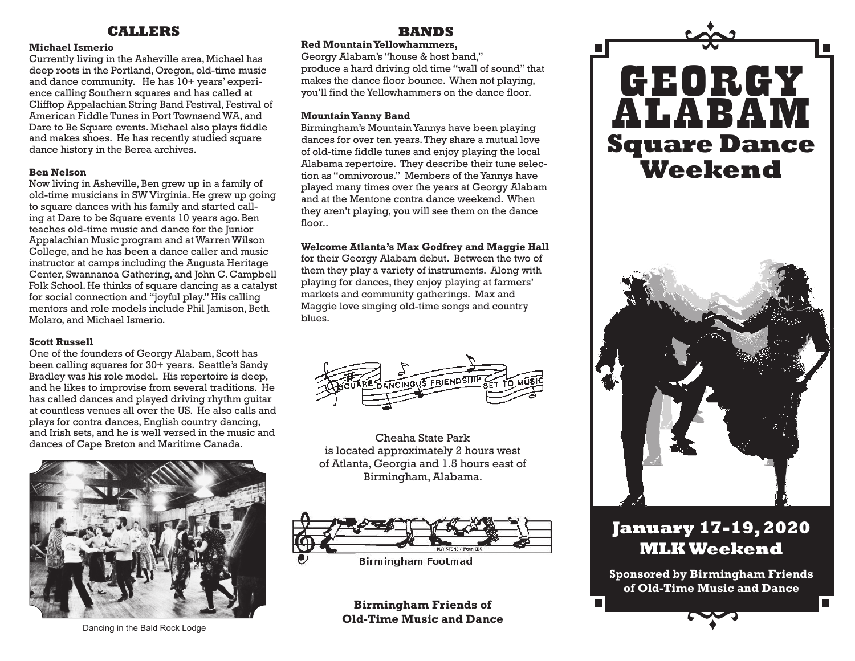## **CALLERS**

#### **Michael Ismerio**

Currently living in the Asheville area, Michael has deep roots in the Portland, Oregon, old-time music and dance community. He has 10+ years' experience calling Southern squares and has called at Clifftop Appalachian String Band Festival, Festival of American Fiddle Tunes in Port Townsend WA, and Dare to Be Square events. Michael also plays fiddle and makes shoes. He has recently studied square dance history in the Berea archives.

#### **Ben Nelson**

Now living in Asheville, Ben grew up in a family of old-time musicians in SW Virginia. He grew up going to square dances with his family and started calling at Dare to be Square events 10 years ago. Ben teaches old-time music and dance for the Junior Appalachian Music program and at Warren Wilson College, and he has been a dance caller and music instructor at camps including the Augusta Heritage Center, Swannanoa Gathering, and John C. Campbell Folk School. He thinks of square dancing as a catalyst for social connection and "joyful play." His calling mentors and role models include Phil Jamison, Beth Molaro, and Michael Ismerio.

#### **Scott Russell**

One of the founders of Georgy Alabam, Scott has been calling squares for 30+ years. Seattle's Sandy Bradley was his role model. His repertoire is deep, and he likes to improvise from several traditions. He has called dances and played driving rhythm guitar at countless venues all over the US. He also calls and plays for contra dances, English country dancing, and Irish sets, and he is well versed in the music and dances of Cape Breton and Maritime Canada.



## **BANDS**

#### **Red Mountain Yellowhammers,**

Georgy Alabam's "house & host band," produce a hard driving old time "wall of sound" that makes the dance floor bounce. When not playing, you'll find the Yellowhammers on the dance floor.

#### **Mountain Yanny Band**

Birmingham's Mountain Yannys have been playing dances for over ten years. They share a mutual love of old-time fiddle tunes and enjoy playing the local Alabama repertoire. They describe their tune selection as "omnivorous." Members of the Yannys have played many times over the years at Georgy Alabam and at the Mentone contra dance weekend. When they aren't playing, you will see them on the dance floor..

#### **Welcome Atlanta's Max Godfrey and Maggie Hall**

for their Georgy Alabam debut. Between the two of them they play a variety of instruments. Along with playing for dances, they enjoy playing at farmers' markets and community gatherings. Max and Maggie love singing old-time songs and country blues.



Cheaha State Park is located approximately 2 hours west of Atlanta, Georgia and 1.5 hours east of Birmingham, Alabama.



**Birmingham Footmad** 

**Birmingham Friends of Old-Time Music and Dance**



# **January 17-19, 2020 MLK Weekend**

**Sponsored by Birmingham Friends of Old-Time Music and Dance**

Dancing in the Bald Rock Lodge